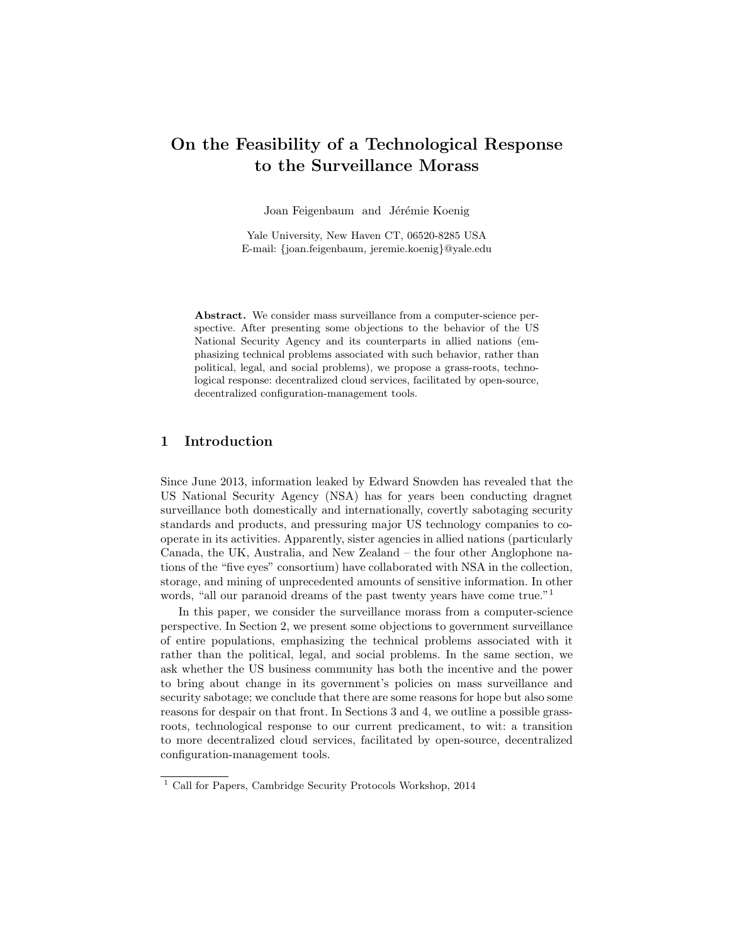# On the Feasibility of a Technological Response to the Surveillance Morass

Joan Feigenbaum and Jérémie Koenig

Yale University, New Haven CT, 06520-8285 USA E-mail: {joan.feigenbaum, jeremie.koenig}@yale.edu

Abstract. We consider mass surveillance from a computer-science perspective. After presenting some objections to the behavior of the US National Security Agency and its counterparts in allied nations (emphasizing technical problems associated with such behavior, rather than political, legal, and social problems), we propose a grass-roots, technological response: decentralized cloud services, facilitated by open-source, decentralized configuration-management tools.

# 1 Introduction

Since June 2013, information leaked by Edward Snowden has revealed that the US National Security Agency (NSA) has for years been conducting dragnet surveillance both domestically and internationally, covertly sabotaging security standards and products, and pressuring major US technology companies to cooperate in its activities. Apparently, sister agencies in allied nations (particularly Canada, the UK, Australia, and New Zealand – the four other Anglophone nations of the "five eyes" consortium) have collaborated with NSA in the collection, storage, and mining of unprecedented amounts of sensitive information. In other words, "all our paranoid dreams of the past twenty years have come true."<sup>1</sup>

In this paper, we consider the surveillance morass from a computer-science perspective. In Section 2, we present some objections to government surveillance of entire populations, emphasizing the technical problems associated with it rather than the political, legal, and social problems. In the same section, we ask whether the US business community has both the incentive and the power to bring about change in its government's policies on mass surveillance and security sabotage; we conclude that there are some reasons for hope but also some reasons for despair on that front. In Sections 3 and 4, we outline a possible grassroots, technological response to our current predicament, to wit: a transition to more decentralized cloud services, facilitated by open-source, decentralized configuration-management tools.

<sup>1</sup> Call for Papers, Cambridge Security Protocols Workshop, 2014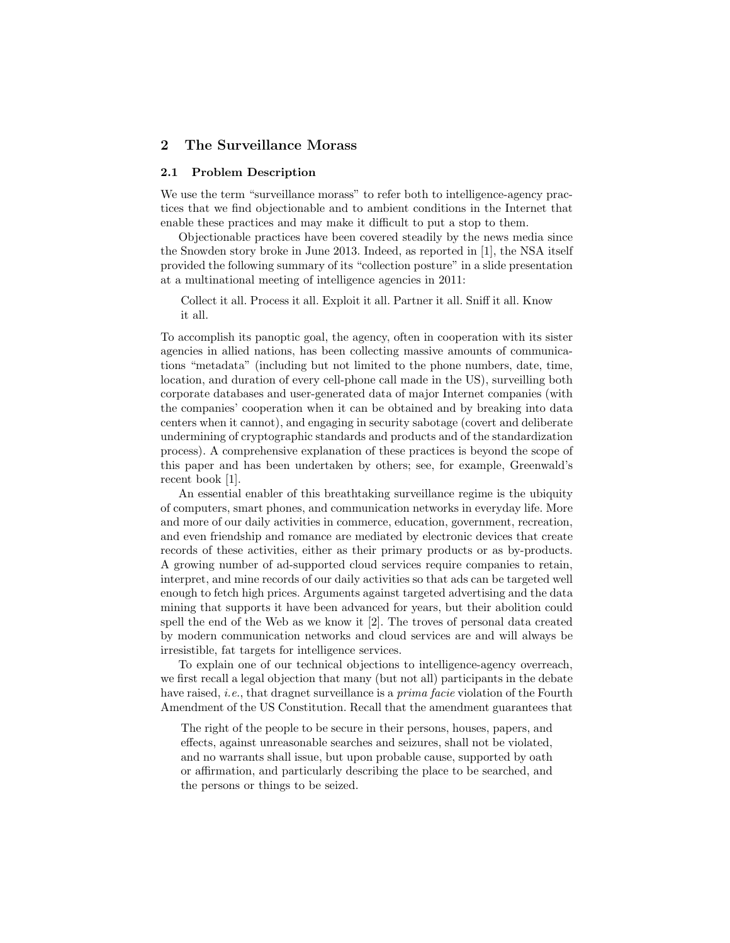# 2 The Surveillance Morass

#### 2.1 Problem Description

We use the term "surveillance morass" to refer both to intelligence-agency practices that we find objectionable and to ambient conditions in the Internet that enable these practices and may make it difficult to put a stop to them.

Objectionable practices have been covered steadily by the news media since the Snowden story broke in June 2013. Indeed, as reported in [1], the NSA itself provided the following summary of its "collection posture" in a slide presentation at a multinational meeting of intelligence agencies in 2011:

Collect it all. Process it all. Exploit it all. Partner it all. Sniff it all. Know it all.

To accomplish its panoptic goal, the agency, often in cooperation with its sister agencies in allied nations, has been collecting massive amounts of communications "metadata" (including but not limited to the phone numbers, date, time, location, and duration of every cell-phone call made in the US), surveilling both corporate databases and user-generated data of major Internet companies (with the companies' cooperation when it can be obtained and by breaking into data centers when it cannot), and engaging in security sabotage (covert and deliberate undermining of cryptographic standards and products and of the standardization process). A comprehensive explanation of these practices is beyond the scope of this paper and has been undertaken by others; see, for example, Greenwald's recent book [1].

An essential enabler of this breathtaking surveillance regime is the ubiquity of computers, smart phones, and communication networks in everyday life. More and more of our daily activities in commerce, education, government, recreation, and even friendship and romance are mediated by electronic devices that create records of these activities, either as their primary products or as by-products. A growing number of ad-supported cloud services require companies to retain, interpret, and mine records of our daily activities so that ads can be targeted well enough to fetch high prices. Arguments against targeted advertising and the data mining that supports it have been advanced for years, but their abolition could spell the end of the Web as we know it [2]. The troves of personal data created by modern communication networks and cloud services are and will always be irresistible, fat targets for intelligence services.

To explain one of our technical objections to intelligence-agency overreach, we first recall a legal objection that many (but not all) participants in the debate have raised, *i.e.*, that dragnet surveillance is a *prima facie* violation of the Fourth Amendment of the US Constitution. Recall that the amendment guarantees that

The right of the people to be secure in their persons, houses, papers, and effects, against unreasonable searches and seizures, shall not be violated, and no warrants shall issue, but upon probable cause, supported by oath or affirmation, and particularly describing the place to be searched, and the persons or things to be seized.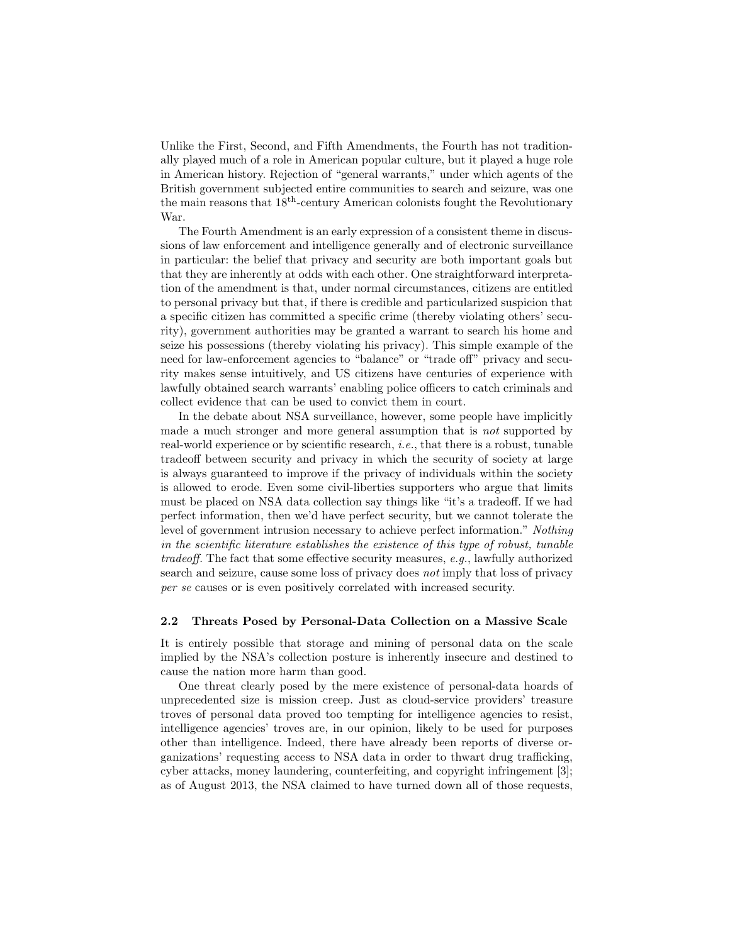Unlike the First, Second, and Fifth Amendments, the Fourth has not traditionally played much of a role in American popular culture, but it played a huge role in American history. Rejection of "general warrants," under which agents of the British government subjected entire communities to search and seizure, was one the main reasons that  $18<sup>th</sup>$ -century American colonists fought the Revolutionary War.

The Fourth Amendment is an early expression of a consistent theme in discussions of law enforcement and intelligence generally and of electronic surveillance in particular: the belief that privacy and security are both important goals but that they are inherently at odds with each other. One straightforward interpretation of the amendment is that, under normal circumstances, citizens are entitled to personal privacy but that, if there is credible and particularized suspicion that a specific citizen has committed a specific crime (thereby violating others' security), government authorities may be granted a warrant to search his home and seize his possessions (thereby violating his privacy). This simple example of the need for law-enforcement agencies to "balance" or "trade off" privacy and security makes sense intuitively, and US citizens have centuries of experience with lawfully obtained search warrants' enabling police officers to catch criminals and collect evidence that can be used to convict them in court.

In the debate about NSA surveillance, however, some people have implicitly made a much stronger and more general assumption that is not supported by real-world experience or by scientific research, i.e., that there is a robust, tunable tradeoff between security and privacy in which the security of society at large is always guaranteed to improve if the privacy of individuals within the society is allowed to erode. Even some civil-liberties supporters who argue that limits must be placed on NSA data collection say things like "it's a tradeoff. If we had perfect information, then we'd have perfect security, but we cannot tolerate the level of government intrusion necessary to achieve perfect information." Nothing in the scientific literature establishes the existence of this type of robust, tunable tradeoff. The fact that some effective security measures, e.g., lawfully authorized search and seizure, cause some loss of privacy does not imply that loss of privacy per se causes or is even positively correlated with increased security.

#### 2.2 Threats Posed by Personal-Data Collection on a Massive Scale

It is entirely possible that storage and mining of personal data on the scale implied by the NSA's collection posture is inherently insecure and destined to cause the nation more harm than good.

One threat clearly posed by the mere existence of personal-data hoards of unprecedented size is mission creep. Just as cloud-service providers' treasure troves of personal data proved too tempting for intelligence agencies to resist, intelligence agencies' troves are, in our opinion, likely to be used for purposes other than intelligence. Indeed, there have already been reports of diverse organizations' requesting access to NSA data in order to thwart drug trafficking, cyber attacks, money laundering, counterfeiting, and copyright infringement [3]; as of August 2013, the NSA claimed to have turned down all of those requests,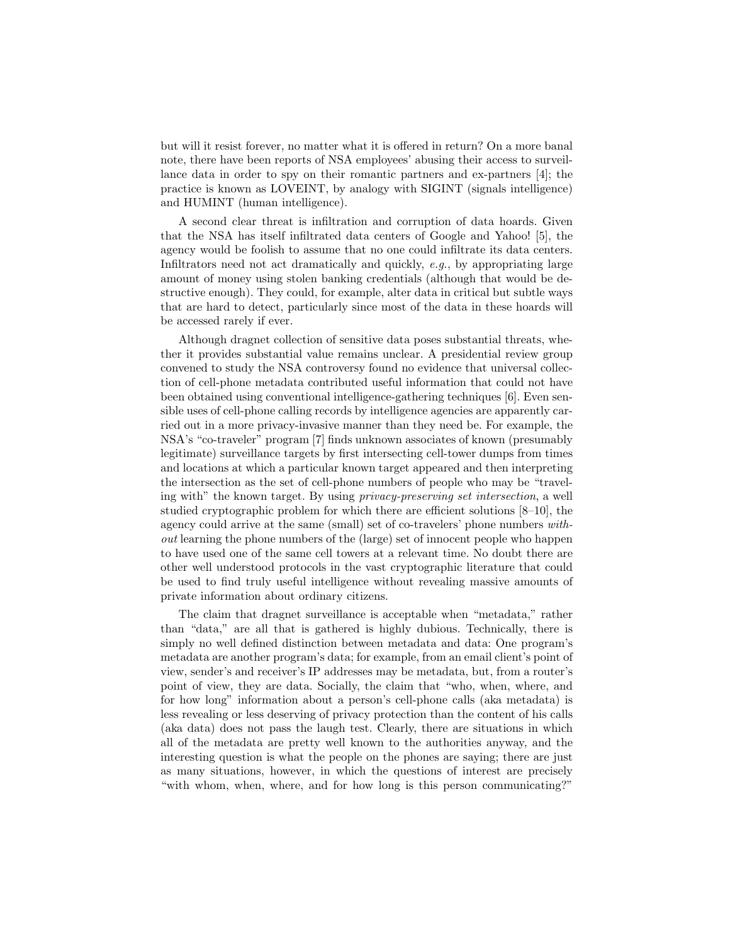but will it resist forever, no matter what it is offered in return? On a more banal note, there have been reports of NSA employees' abusing their access to surveillance data in order to spy on their romantic partners and ex-partners [4]; the practice is known as LOVEINT, by analogy with SIGINT (signals intelligence) and HUMINT (human intelligence).

A second clear threat is infiltration and corruption of data hoards. Given that the NSA has itself infiltrated data centers of Google and Yahoo! [5], the agency would be foolish to assume that no one could infiltrate its data centers. Infiltrators need not act dramatically and quickly,  $e, q$ , by appropriating large amount of money using stolen banking credentials (although that would be destructive enough). They could, for example, alter data in critical but subtle ways that are hard to detect, particularly since most of the data in these hoards will be accessed rarely if ever.

Although dragnet collection of sensitive data poses substantial threats, whether it provides substantial value remains unclear. A presidential review group convened to study the NSA controversy found no evidence that universal collection of cell-phone metadata contributed useful information that could not have been obtained using conventional intelligence-gathering techniques [6]. Even sensible uses of cell-phone calling records by intelligence agencies are apparently carried out in a more privacy-invasive manner than they need be. For example, the NSA's "co-traveler" program [7] finds unknown associates of known (presumably legitimate) surveillance targets by first intersecting cell-tower dumps from times and locations at which a particular known target appeared and then interpreting the intersection as the set of cell-phone numbers of people who may be "traveling with" the known target. By using privacy-preserving set intersection, a well studied cryptographic problem for which there are efficient solutions [8–10], the agency could arrive at the same (small) set of co-travelers' phone numbers without learning the phone numbers of the (large) set of innocent people who happen to have used one of the same cell towers at a relevant time. No doubt there are other well understood protocols in the vast cryptographic literature that could be used to find truly useful intelligence without revealing massive amounts of private information about ordinary citizens.

The claim that dragnet surveillance is acceptable when "metadata," rather than "data," are all that is gathered is highly dubious. Technically, there is simply no well defined distinction between metadata and data: One program's metadata are another program's data; for example, from an email client's point of view, sender's and receiver's IP addresses may be metadata, but, from a router's point of view, they are data. Socially, the claim that "who, when, where, and for how long" information about a person's cell-phone calls (aka metadata) is less revealing or less deserving of privacy protection than the content of his calls (aka data) does not pass the laugh test. Clearly, there are situations in which all of the metadata are pretty well known to the authorities anyway, and the interesting question is what the people on the phones are saying; there are just as many situations, however, in which the questions of interest are precisely "with whom, when, where, and for how long is this person communicating?"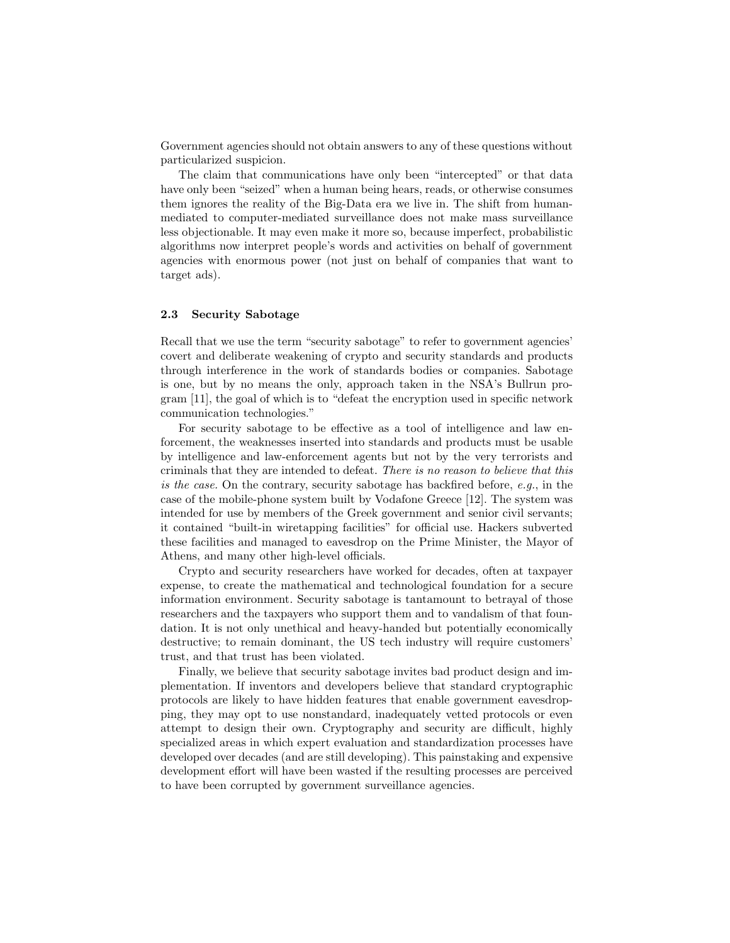Government agencies should not obtain answers to any of these questions without particularized suspicion.

The claim that communications have only been "intercepted" or that data have only been "seized" when a human being hears, reads, or otherwise consumes them ignores the reality of the Big-Data era we live in. The shift from humanmediated to computer-mediated surveillance does not make mass surveillance less objectionable. It may even make it more so, because imperfect, probabilistic algorithms now interpret people's words and activities on behalf of government agencies with enormous power (not just on behalf of companies that want to target ads).

## 2.3 Security Sabotage

Recall that we use the term "security sabotage" to refer to government agencies' covert and deliberate weakening of crypto and security standards and products through interference in the work of standards bodies or companies. Sabotage is one, but by no means the only, approach taken in the NSA's Bullrun program [11], the goal of which is to "defeat the encryption used in specific network communication technologies."

For security sabotage to be effective as a tool of intelligence and law enforcement, the weaknesses inserted into standards and products must be usable by intelligence and law-enforcement agents but not by the very terrorists and criminals that they are intended to defeat. There is no reason to believe that this is the case. On the contrary, security sabotage has backfired before, e.g., in the case of the mobile-phone system built by Vodafone Greece [12]. The system was intended for use by members of the Greek government and senior civil servants; it contained "built-in wiretapping facilities" for official use. Hackers subverted these facilities and managed to eavesdrop on the Prime Minister, the Mayor of Athens, and many other high-level officials.

Crypto and security researchers have worked for decades, often at taxpayer expense, to create the mathematical and technological foundation for a secure information environment. Security sabotage is tantamount to betrayal of those researchers and the taxpayers who support them and to vandalism of that foundation. It is not only unethical and heavy-handed but potentially economically destructive; to remain dominant, the US tech industry will require customers' trust, and that trust has been violated.

Finally, we believe that security sabotage invites bad product design and implementation. If inventors and developers believe that standard cryptographic protocols are likely to have hidden features that enable government eavesdropping, they may opt to use nonstandard, inadequately vetted protocols or even attempt to design their own. Cryptography and security are difficult, highly specialized areas in which expert evaluation and standardization processes have developed over decades (and are still developing). This painstaking and expensive development effort will have been wasted if the resulting processes are perceived to have been corrupted by government surveillance agencies.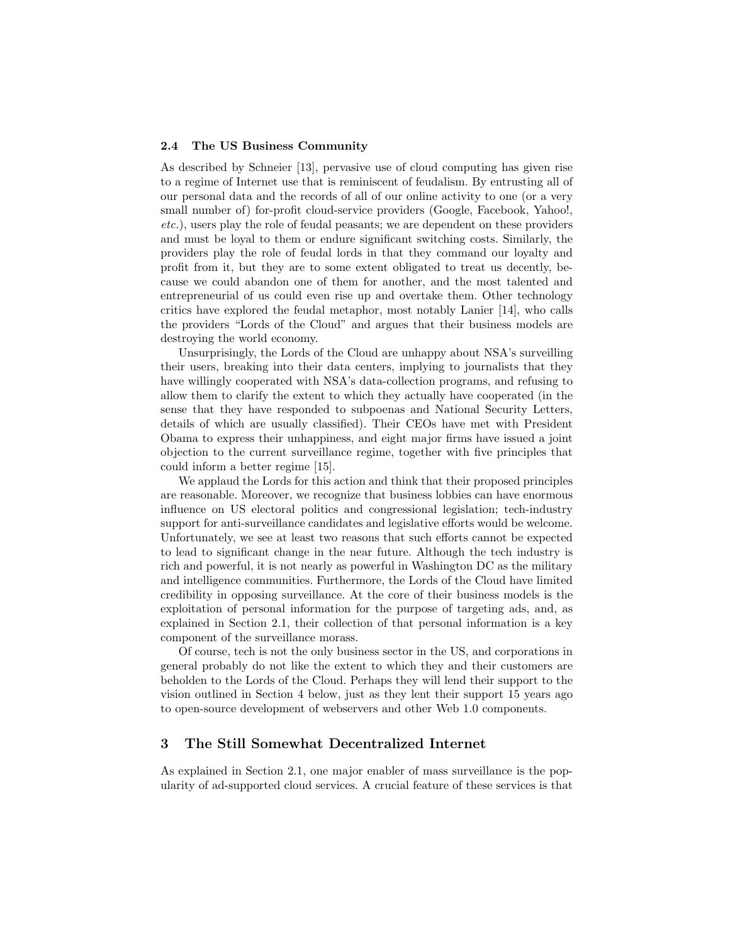## 2.4 The US Business Community

As described by Schneier [13], pervasive use of cloud computing has given rise to a regime of Internet use that is reminiscent of feudalism. By entrusting all of our personal data and the records of all of our online activity to one (or a very small number of) for-profit cloud-service providers (Google, Facebook, Yahoo!, etc.), users play the role of feudal peasants; we are dependent on these providers and must be loyal to them or endure significant switching costs. Similarly, the providers play the role of feudal lords in that they command our loyalty and profit from it, but they are to some extent obligated to treat us decently, because we could abandon one of them for another, and the most talented and entrepreneurial of us could even rise up and overtake them. Other technology critics have explored the feudal metaphor, most notably Lanier [14], who calls the providers "Lords of the Cloud" and argues that their business models are destroying the world economy.

Unsurprisingly, the Lords of the Cloud are unhappy about NSA's surveilling their users, breaking into their data centers, implying to journalists that they have willingly cooperated with NSA's data-collection programs, and refusing to allow them to clarify the extent to which they actually have cooperated (in the sense that they have responded to subpoenas and National Security Letters, details of which are usually classified). Their CEOs have met with President Obama to express their unhappiness, and eight major firms have issued a joint objection to the current surveillance regime, together with five principles that could inform a better regime [15].

We applaud the Lords for this action and think that their proposed principles are reasonable. Moreover, we recognize that business lobbies can have enormous influence on US electoral politics and congressional legislation; tech-industry support for anti-surveillance candidates and legislative efforts would be welcome. Unfortunately, we see at least two reasons that such efforts cannot be expected to lead to significant change in the near future. Although the tech industry is rich and powerful, it is not nearly as powerful in Washington DC as the military and intelligence communities. Furthermore, the Lords of the Cloud have limited credibility in opposing surveillance. At the core of their business models is the exploitation of personal information for the purpose of targeting ads, and, as explained in Section 2.1, their collection of that personal information is a key component of the surveillance morass.

Of course, tech is not the only business sector in the US, and corporations in general probably do not like the extent to which they and their customers are beholden to the Lords of the Cloud. Perhaps they will lend their support to the vision outlined in Section 4 below, just as they lent their support 15 years ago to open-source development of webservers and other Web 1.0 components.

## 3 The Still Somewhat Decentralized Internet

As explained in Section 2.1, one major enabler of mass surveillance is the popularity of ad-supported cloud services. A crucial feature of these services is that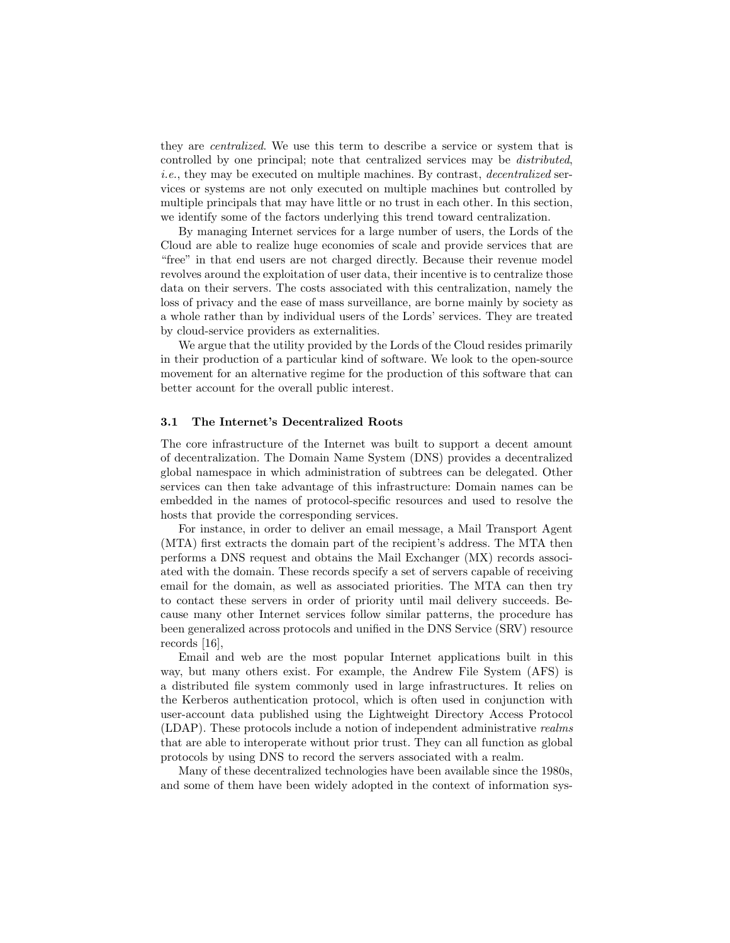they are centralized. We use this term to describe a service or system that is controlled by one principal; note that centralized services may be distributed, i.e., they may be executed on multiple machines. By contrast, decentralized services or systems are not only executed on multiple machines but controlled by multiple principals that may have little or no trust in each other. In this section, we identify some of the factors underlying this trend toward centralization.

By managing Internet services for a large number of users, the Lords of the Cloud are able to realize huge economies of scale and provide services that are "free" in that end users are not charged directly. Because their revenue model revolves around the exploitation of user data, their incentive is to centralize those data on their servers. The costs associated with this centralization, namely the loss of privacy and the ease of mass surveillance, are borne mainly by society as a whole rather than by individual users of the Lords' services. They are treated by cloud-service providers as externalities.

We argue that the utility provided by the Lords of the Cloud resides primarily in their production of a particular kind of software. We look to the open-source movement for an alternative regime for the production of this software that can better account for the overall public interest.

## 3.1 The Internet's Decentralized Roots

The core infrastructure of the Internet was built to support a decent amount of decentralization. The Domain Name System (DNS) provides a decentralized global namespace in which administration of subtrees can be delegated. Other services can then take advantage of this infrastructure: Domain names can be embedded in the names of protocol-specific resources and used to resolve the hosts that provide the corresponding services.

For instance, in order to deliver an email message, a Mail Transport Agent (MTA) first extracts the domain part of the recipient's address. The MTA then performs a DNS request and obtains the Mail Exchanger (MX) records associated with the domain. These records specify a set of servers capable of receiving email for the domain, as well as associated priorities. The MTA can then try to contact these servers in order of priority until mail delivery succeeds. Because many other Internet services follow similar patterns, the procedure has been generalized across protocols and unified in the DNS Service (SRV) resource records [16],

Email and web are the most popular Internet applications built in this way, but many others exist. For example, the Andrew File System (AFS) is a distributed file system commonly used in large infrastructures. It relies on the Kerberos authentication protocol, which is often used in conjunction with user-account data published using the Lightweight Directory Access Protocol (LDAP). These protocols include a notion of independent administrative realms that are able to interoperate without prior trust. They can all function as global protocols by using DNS to record the servers associated with a realm.

Many of these decentralized technologies have been available since the 1980s, and some of them have been widely adopted in the context of information sys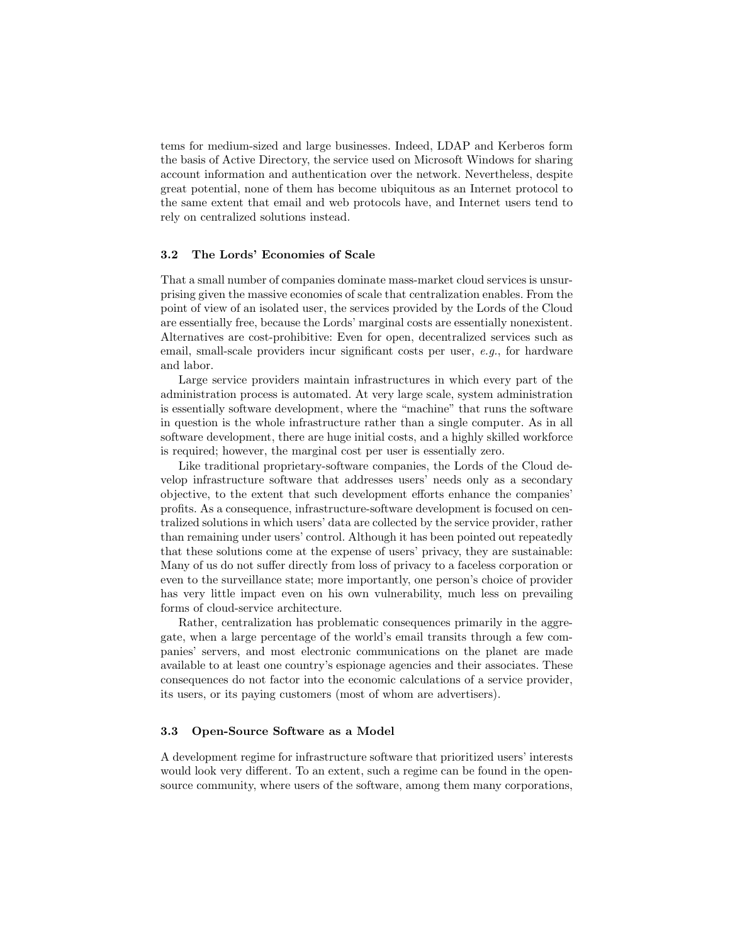tems for medium-sized and large businesses. Indeed, LDAP and Kerberos form the basis of Active Directory, the service used on Microsoft Windows for sharing account information and authentication over the network. Nevertheless, despite great potential, none of them has become ubiquitous as an Internet protocol to the same extent that email and web protocols have, and Internet users tend to rely on centralized solutions instead.

#### 3.2 The Lords' Economies of Scale

That a small number of companies dominate mass-market cloud services is unsurprising given the massive economies of scale that centralization enables. From the point of view of an isolated user, the services provided by the Lords of the Cloud are essentially free, because the Lords' marginal costs are essentially nonexistent. Alternatives are cost-prohibitive: Even for open, decentralized services such as email, small-scale providers incur significant costs per user, e.g., for hardware and labor.

Large service providers maintain infrastructures in which every part of the administration process is automated. At very large scale, system administration is essentially software development, where the "machine" that runs the software in question is the whole infrastructure rather than a single computer. As in all software development, there are huge initial costs, and a highly skilled workforce is required; however, the marginal cost per user is essentially zero.

Like traditional proprietary-software companies, the Lords of the Cloud develop infrastructure software that addresses users' needs only as a secondary objective, to the extent that such development efforts enhance the companies' profits. As a consequence, infrastructure-software development is focused on centralized solutions in which users' data are collected by the service provider, rather than remaining under users' control. Although it has been pointed out repeatedly that these solutions come at the expense of users' privacy, they are sustainable: Many of us do not suffer directly from loss of privacy to a faceless corporation or even to the surveillance state; more importantly, one person's choice of provider has very little impact even on his own vulnerability, much less on prevailing forms of cloud-service architecture.

Rather, centralization has problematic consequences primarily in the aggregate, when a large percentage of the world's email transits through a few companies' servers, and most electronic communications on the planet are made available to at least one country's espionage agencies and their associates. These consequences do not factor into the economic calculations of a service provider, its users, or its paying customers (most of whom are advertisers).

#### 3.3 Open-Source Software as a Model

A development regime for infrastructure software that prioritized users' interests would look very different. To an extent, such a regime can be found in the opensource community, where users of the software, among them many corporations,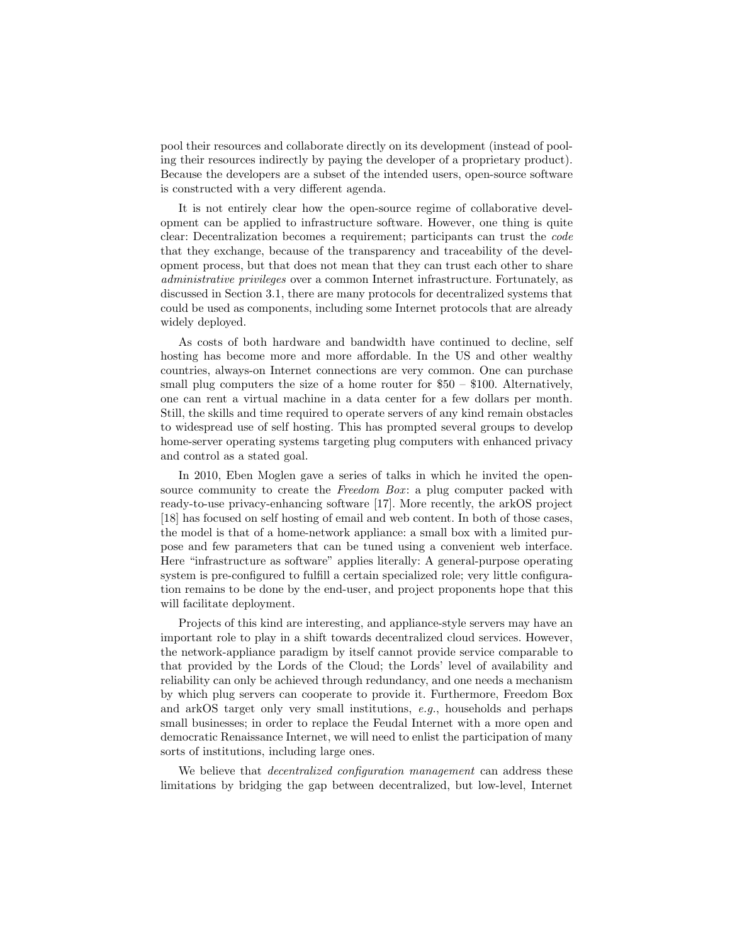pool their resources and collaborate directly on its development (instead of pooling their resources indirectly by paying the developer of a proprietary product). Because the developers are a subset of the intended users, open-source software is constructed with a very different agenda.

It is not entirely clear how the open-source regime of collaborative development can be applied to infrastructure software. However, one thing is quite clear: Decentralization becomes a requirement; participants can trust the code that they exchange, because of the transparency and traceability of the development process, but that does not mean that they can trust each other to share administrative privileges over a common Internet infrastructure. Fortunately, as discussed in Section 3.1, there are many protocols for decentralized systems that could be used as components, including some Internet protocols that are already widely deployed.

As costs of both hardware and bandwidth have continued to decline, self hosting has become more and more affordable. In the US and other wealthy countries, always-on Internet connections are very common. One can purchase small plug computers the size of a home router for  $$50 - $100$ . Alternatively, one can rent a virtual machine in a data center for a few dollars per month. Still, the skills and time required to operate servers of any kind remain obstacles to widespread use of self hosting. This has prompted several groups to develop home-server operating systems targeting plug computers with enhanced privacy and control as a stated goal.

In 2010, Eben Moglen gave a series of talks in which he invited the opensource community to create the Freedom Box: a plug computer packed with ready-to-use privacy-enhancing software [17]. More recently, the arkOS project [18] has focused on self hosting of email and web content. In both of those cases, the model is that of a home-network appliance: a small box with a limited purpose and few parameters that can be tuned using a convenient web interface. Here "infrastructure as software" applies literally: A general-purpose operating system is pre-configured to fulfill a certain specialized role; very little configuration remains to be done by the end-user, and project proponents hope that this will facilitate deployment.

Projects of this kind are interesting, and appliance-style servers may have an important role to play in a shift towards decentralized cloud services. However, the network-appliance paradigm by itself cannot provide service comparable to that provided by the Lords of the Cloud; the Lords' level of availability and reliability can only be achieved through redundancy, and one needs a mechanism by which plug servers can cooperate to provide it. Furthermore, Freedom Box and arkOS target only very small institutions,  $e, q$ , households and perhaps small businesses; in order to replace the Feudal Internet with a more open and democratic Renaissance Internet, we will need to enlist the participation of many sorts of institutions, including large ones.

We believe that *decentralized configuration management* can address these limitations by bridging the gap between decentralized, but low-level, Internet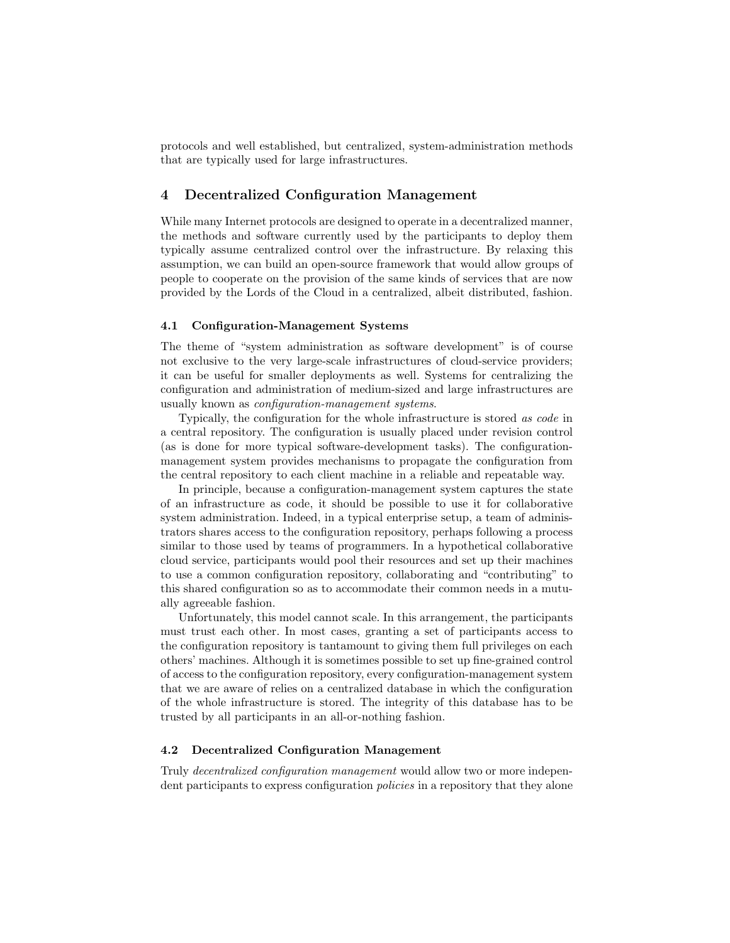protocols and well established, but centralized, system-administration methods that are typically used for large infrastructures.

# 4 Decentralized Configuration Management

While many Internet protocols are designed to operate in a decentralized manner, the methods and software currently used by the participants to deploy them typically assume centralized control over the infrastructure. By relaxing this assumption, we can build an open-source framework that would allow groups of people to cooperate on the provision of the same kinds of services that are now provided by the Lords of the Cloud in a centralized, albeit distributed, fashion.

## 4.1 Configuration-Management Systems

The theme of "system administration as software development" is of course not exclusive to the very large-scale infrastructures of cloud-service providers; it can be useful for smaller deployments as well. Systems for centralizing the configuration and administration of medium-sized and large infrastructures are usually known as configuration-management systems.

Typically, the configuration for the whole infrastructure is stored as code in a central repository. The configuration is usually placed under revision control (as is done for more typical software-development tasks). The configurationmanagement system provides mechanisms to propagate the configuration from the central repository to each client machine in a reliable and repeatable way.

In principle, because a configuration-management system captures the state of an infrastructure as code, it should be possible to use it for collaborative system administration. Indeed, in a typical enterprise setup, a team of administrators shares access to the configuration repository, perhaps following a process similar to those used by teams of programmers. In a hypothetical collaborative cloud service, participants would pool their resources and set up their machines to use a common configuration repository, collaborating and "contributing" to this shared configuration so as to accommodate their common needs in a mutually agreeable fashion.

Unfortunately, this model cannot scale. In this arrangement, the participants must trust each other. In most cases, granting a set of participants access to the configuration repository is tantamount to giving them full privileges on each others' machines. Although it is sometimes possible to set up fine-grained control of access to the configuration repository, every configuration-management system that we are aware of relies on a centralized database in which the configuration of the whole infrastructure is stored. The integrity of this database has to be trusted by all participants in an all-or-nothing fashion.

## 4.2 Decentralized Configuration Management

Truly decentralized configuration management would allow two or more independent participants to express configuration policies in a repository that they alone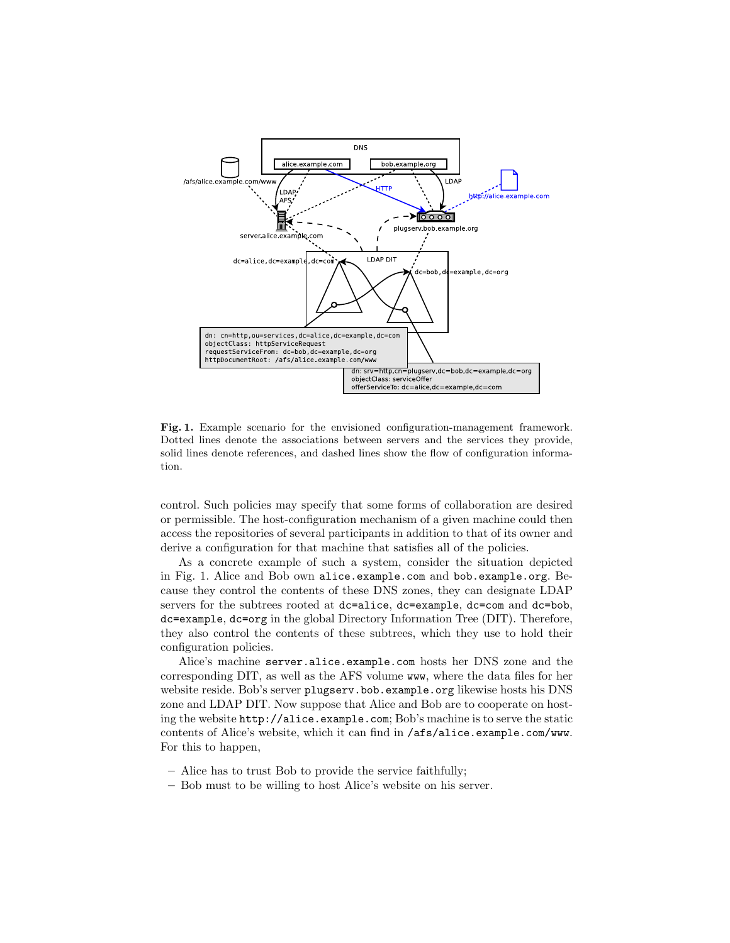

Fig. 1. Example scenario for the envisioned configuration-management framework. Dotted lines denote the associations between servers and the services they provide, solid lines denote references, and dashed lines show the flow of configuration information.

control. Such policies may specify that some forms of collaboration are desired or permissible. The host-configuration mechanism of a given machine could then access the repositories of several participants in addition to that of its owner and derive a configuration for that machine that satisfies all of the policies.

As a concrete example of such a system, consider the situation depicted in Fig. 1. Alice and Bob own alice.example.com and bob.example.org. Because they control the contents of these DNS zones, they can designate LDAP servers for the subtrees rooted at dc=alice, dc=example, dc=com and dc=bob, dc=example, dc=org in the global Directory Information Tree (DIT). Therefore, they also control the contents of these subtrees, which they use to hold their configuration policies.

Alice's machine server.alice.example.com hosts her DNS zone and the corresponding DIT, as well as the AFS volume www, where the data files for her website reside. Bob's server plugserv.bob.example.org likewise hosts his DNS zone and LDAP DIT. Now suppose that Alice and Bob are to cooperate on hosting the website http://alice.example.com; Bob's machine is to serve the static contents of Alice's website, which it can find in /afs/alice.example.com/www. For this to happen,

- Alice has to trust Bob to provide the service faithfully;
- Bob must to be willing to host Alice's website on his server.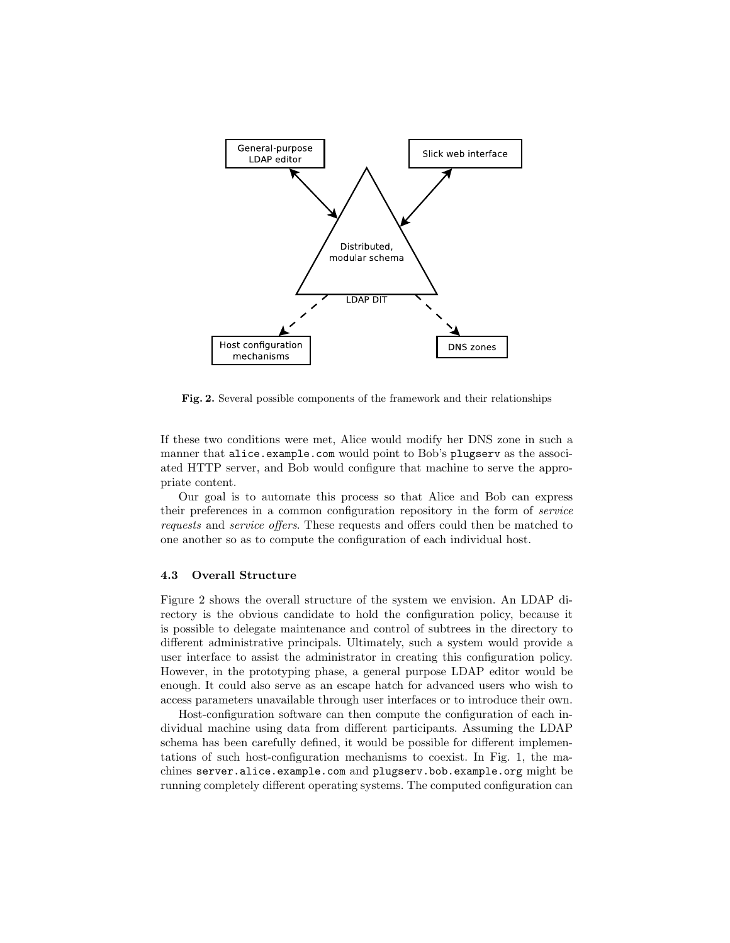

Fig. 2. Several possible components of the framework and their relationships

If these two conditions were met, Alice would modify her DNS zone in such a manner that alice.example.com would point to Bob's plugserv as the associated HTTP server, and Bob would configure that machine to serve the appropriate content.

Our goal is to automate this process so that Alice and Bob can express their preferences in a common configuration repository in the form of service requests and service offers. These requests and offers could then be matched to one another so as to compute the configuration of each individual host.

## 4.3 Overall Structure

Figure 2 shows the overall structure of the system we envision. An LDAP directory is the obvious candidate to hold the configuration policy, because it is possible to delegate maintenance and control of subtrees in the directory to different administrative principals. Ultimately, such a system would provide a user interface to assist the administrator in creating this configuration policy. However, in the prototyping phase, a general purpose LDAP editor would be enough. It could also serve as an escape hatch for advanced users who wish to access parameters unavailable through user interfaces or to introduce their own.

Host-configuration software can then compute the configuration of each individual machine using data from different participants. Assuming the LDAP schema has been carefully defined, it would be possible for different implementations of such host-configuration mechanisms to coexist. In Fig. 1, the machines server.alice.example.com and plugserv.bob.example.org might be running completely different operating systems. The computed configuration can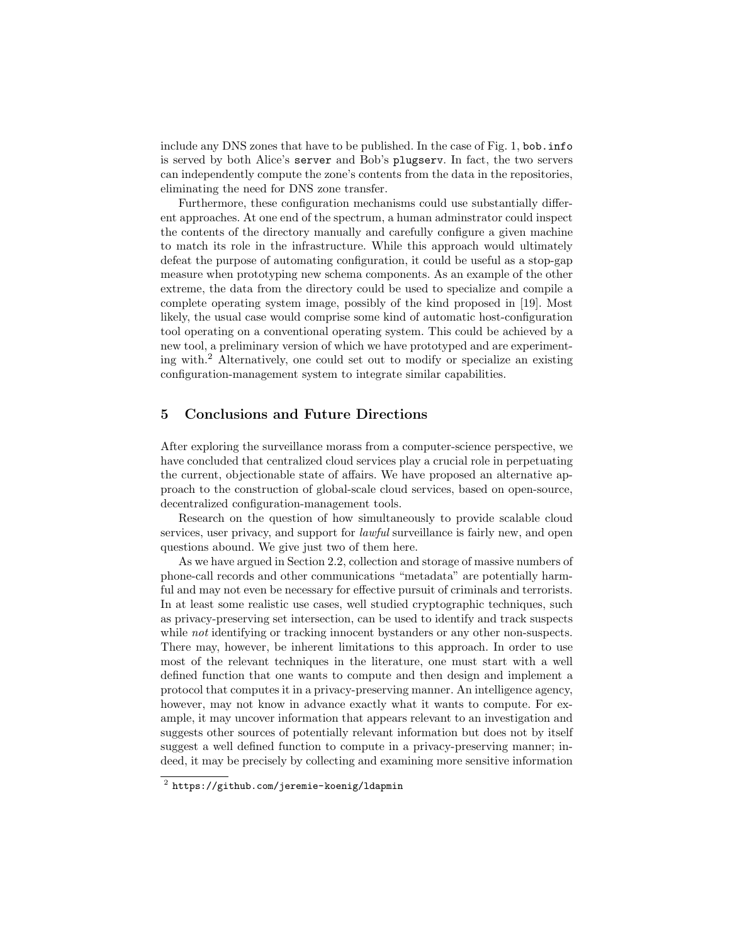include any DNS zones that have to be published. In the case of Fig. 1, bob.info is served by both Alice's server and Bob's plugserv. In fact, the two servers can independently compute the zone's contents from the data in the repositories, eliminating the need for DNS zone transfer.

Furthermore, these configuration mechanisms could use substantially different approaches. At one end of the spectrum, a human adminstrator could inspect the contents of the directory manually and carefully configure a given machine to match its role in the infrastructure. While this approach would ultimately defeat the purpose of automating configuration, it could be useful as a stop-gap measure when prototyping new schema components. As an example of the other extreme, the data from the directory could be used to specialize and compile a complete operating system image, possibly of the kind proposed in [19]. Most likely, the usual case would comprise some kind of automatic host-configuration tool operating on a conventional operating system. This could be achieved by a new tool, a preliminary version of which we have prototyped and are experimenting with.<sup>2</sup> Alternatively, one could set out to modify or specialize an existing configuration-management system to integrate similar capabilities.

# 5 Conclusions and Future Directions

After exploring the surveillance morass from a computer-science perspective, we have concluded that centralized cloud services play a crucial role in perpetuating the current, objectionable state of affairs. We have proposed an alternative approach to the construction of global-scale cloud services, based on open-source, decentralized configuration-management tools.

Research on the question of how simultaneously to provide scalable cloud services, user privacy, and support for *lawful* surveillance is fairly new, and open questions abound. We give just two of them here.

As we have argued in Section 2.2, collection and storage of massive numbers of phone-call records and other communications "metadata" are potentially harmful and may not even be necessary for effective pursuit of criminals and terrorists. In at least some realistic use cases, well studied cryptographic techniques, such as privacy-preserving set intersection, can be used to identify and track suspects while *not* identifying or tracking innocent bystanders or any other non-suspects. There may, however, be inherent limitations to this approach. In order to use most of the relevant techniques in the literature, one must start with a well defined function that one wants to compute and then design and implement a protocol that computes it in a privacy-preserving manner. An intelligence agency, however, may not know in advance exactly what it wants to compute. For example, it may uncover information that appears relevant to an investigation and suggests other sources of potentially relevant information but does not by itself suggest a well defined function to compute in a privacy-preserving manner; indeed, it may be precisely by collecting and examining more sensitive information

 $^2$  https://github.com/jeremie-koenig/ldapmin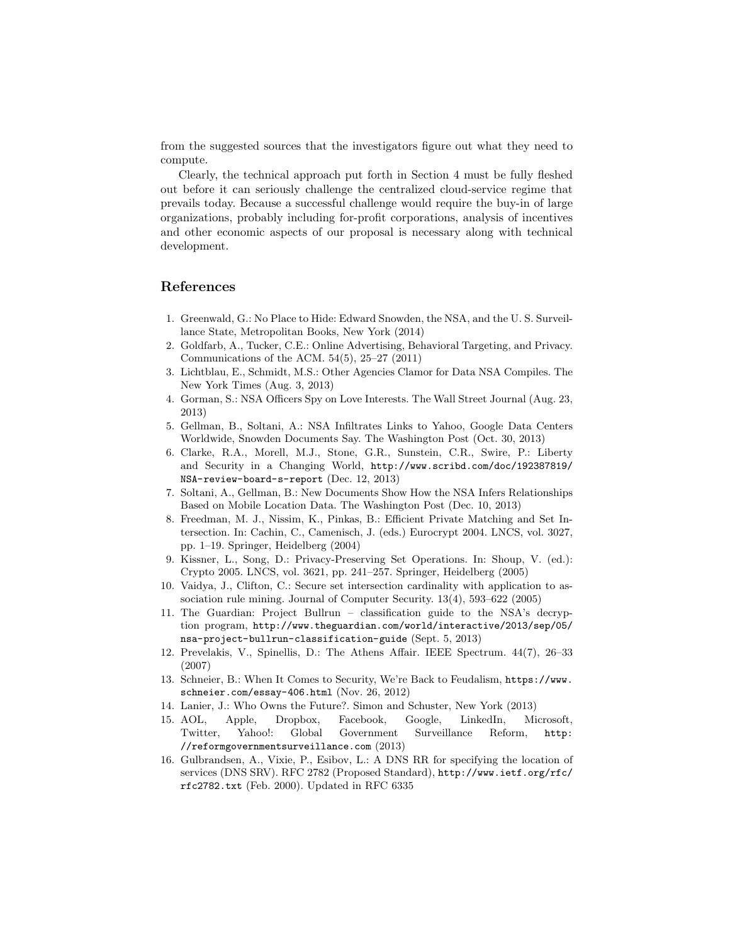from the suggested sources that the investigators figure out what they need to compute.

Clearly, the technical approach put forth in Section 4 must be fully fleshed out before it can seriously challenge the centralized cloud-service regime that prevails today. Because a successful challenge would require the buy-in of large organizations, probably including for-profit corporations, analysis of incentives and other economic aspects of our proposal is necessary along with technical development.

# References

- 1. Greenwald, G.: No Place to Hide: Edward Snowden, the NSA, and the U. S. Surveillance State, Metropolitan Books, New York (2014)
- 2. Goldfarb, A., Tucker, C.E.: Online Advertising, Behavioral Targeting, and Privacy. Communications of the ACM. 54(5), 25–27 (2011)
- 3. Lichtblau, E., Schmidt, M.S.: Other Agencies Clamor for Data NSA Compiles. The New York Times (Aug. 3, 2013)
- 4. Gorman, S.: NSA Officers Spy on Love Interests. The Wall Street Journal (Aug. 23, 2013)
- 5. Gellman, B., Soltani, A.: NSA Infiltrates Links to Yahoo, Google Data Centers Worldwide, Snowden Documents Say. The Washington Post (Oct. 30, 2013)
- 6. Clarke, R.A., Morell, M.J., Stone, G.R., Sunstein, C.R., Swire, P.: Liberty and Security in a Changing World, http://www.scribd.com/doc/192387819/ NSA-review-board-s-report (Dec. 12, 2013)
- 7. Soltani, A., Gellman, B.: New Documents Show How the NSA Infers Relationships Based on Mobile Location Data. The Washington Post (Dec. 10, 2013)
- 8. Freedman, M. J., Nissim, K., Pinkas, B.: Efficient Private Matching and Set Intersection. In: Cachin, C., Camenisch, J. (eds.) Eurocrypt 2004. LNCS, vol. 3027, pp. 1–19. Springer, Heidelberg (2004)
- 9. Kissner, L., Song, D.: Privacy-Preserving Set Operations. In: Shoup, V. (ed.): Crypto 2005. LNCS, vol. 3621, pp. 241–257. Springer, Heidelberg (2005)
- 10. Vaidya, J., Clifton, C.: Secure set intersection cardinality with application to association rule mining. Journal of Computer Security. 13(4), 593–622 (2005)
- 11. The Guardian: Project Bullrun classification guide to the NSA's decryption program, http://www.theguardian.com/world/interactive/2013/sep/05/ nsa-project-bullrun-classification-guide (Sept. 5, 2013)
- 12. Prevelakis, V., Spinellis, D.: The Athens Affair. IEEE Spectrum. 44(7), 26–33 (2007)
- 13. Schneier, B.: When It Comes to Security, We're Back to Feudalism, https://www. schneier.com/essay-406.html (Nov. 26, 2012)
- 14. Lanier, J.: Who Owns the Future?. Simon and Schuster, New York (2013)
- 15. AOL, Apple, Dropbox, Facebook, Google, LinkedIn, Microsoft, Twitter, Yahoo!: Global Government Surveillance Reform, http: //reformgovernmentsurveillance.com (2013)
- 16. Gulbrandsen, A., Vixie, P., Esibov, L.: A DNS RR for specifying the location of services (DNS SRV). RFC 2782 (Proposed Standard), http://www.ietf.org/rfc/ rfc2782.txt (Feb. 2000). Updated in RFC 6335